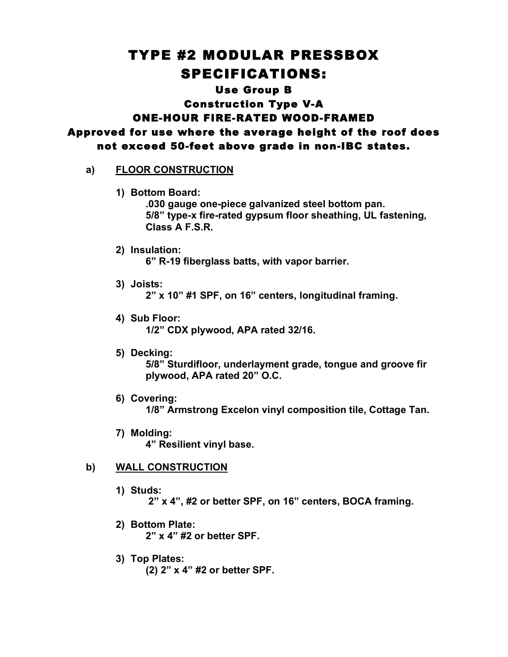# TYPE #2 MODULAR PRESSBOX SPECIFICATIONS:

## Use Group B

Construction Type V-A ONE-HOUR FIRE-RATED WOOD-FRAMED

Approved for use where the average height of the roof does not exceed 50-feet above grade in non-IBC states.

## **a) FLOOR CONSTRUCTION**

**1) Bottom Board:**

**.030 gauge one-piece galvanized steel bottom pan. 5/8" type-x fire-rated gypsum floor sheathing, UL fastening, Class A F.S.R.**

**2) Insulation:**

**6" R-19 fiberglass batts, with vapor barrier.**

**3) Joists:**

**2" x 10" #1 SPF, on 16" centers, longitudinal framing.**

- **4) Sub Floor: 1/2" CDX plywood, APA rated 32/16.**
- **5) Decking: 5/8" Sturdifloor, underlayment grade, tongue and groove fir plywood, APA rated 20" O.C.**
- **6) Covering: 1/8" Armstrong Excelon vinyl composition tile, Cottage Tan.**
- **7) Molding: 4" Resilient vinyl base.**

# **b) WALL CONSTRUCTION**

**1) Studs:**

**2" x 4", #2 or better SPF, on 16" centers, BOCA framing.**

- **2) Bottom Plate: 2" x 4" #2 or better SPF.**
- **3) Top Plates: (2) 2" x 4" #2 or better SPF.**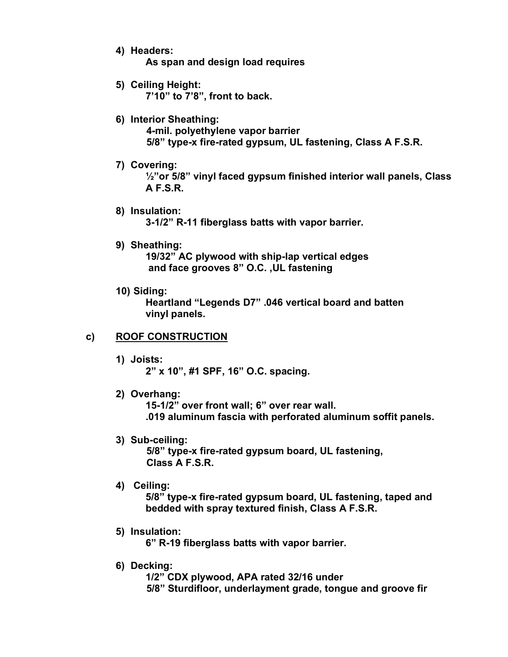**4) Headers:**

**As span and design load requires**

- **5) Ceiling Height: 7'10" to 7'8", front to back.**
- **6) Interior Sheathing: 4-mil. polyethylene vapor barrier 5/8" type-x fire-rated gypsum, UL fastening, Class A F.S.R.**
- **7) Covering:**

**½"or 5/8" vinyl faced gypsum finished interior wall panels, Class A F.S.R.**

- **8) Insulation: 3-1/2" R-11 fiberglass batts with vapor barrier.**
- **9) Sheathing:**

**19/32" AC plywood with ship-lap vertical edges and face grooves 8" O.C. ,UL fastening**

**10) Siding:**

**Heartland "Legends D7" .046 vertical board and batten vinyl panels.**

# **c) ROOF CONSTRUCTION**

**1) Joists:**

**2" x 10", #1 SPF, 16" O.C. spacing.**

**2) Overhang:**

**15-1/2" over front wall; 6" over rear wall. .019 aluminum fascia with perforated aluminum soffit panels.**

**3) Sub-ceiling:**

**5/8" type-x fire-rated gypsum board, UL fastening, Class A F.S.R.**

**4) Ceiling:**

**5/8" type-x fire-rated gypsum board, UL fastening, taped and bedded with spray textured finish, Class A F.S.R.**

**5) Insulation:**

**6" R-19 fiberglass batts with vapor barrier.**

**6) Decking:**

**1/2" CDX plywood, APA rated 32/16 under 5/8" Sturdifloor, underlayment grade, tongue and groove fir**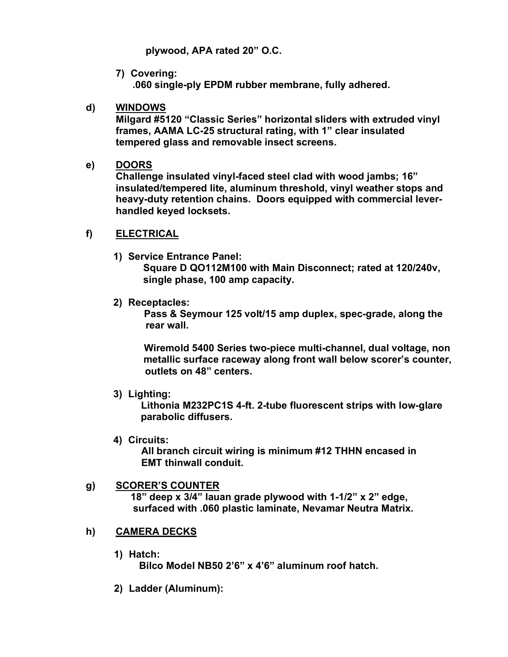**plywood, APA rated 20" O.C.**

**7) Covering: .060 single-ply EPDM rubber membrane, fully adhered.**

## **d) WINDOWS**

**Milgard #5120 "Classic Series" horizontal sliders with extruded vinyl frames, AAMA LC-25 structural rating, with 1" clear insulated tempered glass and removable insect screens.**

#### **e) DOORS**

**Challenge insulated vinyl-faced steel clad with wood jambs; 16" insulated/tempered lite, aluminum threshold, vinyl weather stops and heavy-duty retention chains. Doors equipped with commercial leverhandled keyed locksets.**

#### **f) ELECTRICAL**

**1) Service Entrance Panel:**

**Square D QO112M100 with Main Disconnect; rated at 120/240v, single phase, 100 amp capacity.**

**2) Receptacles:**

**Pass & Seymour 125 volt/15 amp duplex, spec-grade, along the rear wall.**

**Wiremold 5400 Series two-piece multi-channel, dual voltage, non metallic surface raceway along front wall below scorer's counter, outlets on 48" centers.**

**3) Lighting:**

**Lithonia M232PC1S 4-ft. 2-tube fluorescent strips with low-glare parabolic diffusers.**

**4) Circuits:**

**All branch circuit wiring is minimum #12 THHN encased in EMT thinwall conduit.**

## **g) SCORER'S COUNTER 18" deep x 3/4" lauan grade plywood with 1-1/2" x 2" edge, surfaced with .060 plastic laminate, Nevamar Neutra Matrix.**

# **h) CAMERA DECKS**

**1) Hatch:**

**Bilco Model NB50 2'6" x 4'6" aluminum roof hatch.**

**2) Ladder (Aluminum):**